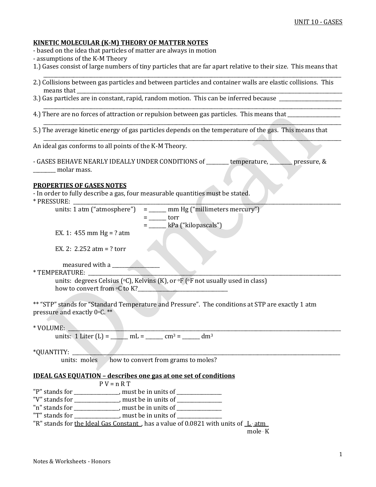### **KINETIC MOLECULAR (K-M) THEORY OF MATTER NOTES**

- based on the idea that particles of matter are always in motion
- assumptions of the K-M Theory
- 1.) Gases consist of large numbers of tiny particles that are far apart relative to their size. This means that  $\overline{\phantom{a}}$  , and the contribution of the contribution of the contribution of the contribution of the contribution of the contribution of the contribution of the contribution of the contribution of the contribution of the
- 2.) Collisions between gas particles and between particles and container walls are elastic collisions. This means that \_\_\_\_\_\_\_\_\_\_\_\_\_\_\_\_\_\_\_\_\_\_\_\_\_\_\_\_\_\_\_\_\_\_\_\_\_\_\_\_\_\_\_\_\_\_\_\_\_\_\_\_\_\_\_\_\_\_\_\_\_\_\_\_\_\_\_\_\_\_\_\_\_\_\_\_\_\_\_\_\_\_\_\_\_\_\_\_\_\_\_\_\_\_\_\_\_\_\_\_\_\_\_\_\_\_
- 3.) Gas particles are in constant, rapid, random motion. This can be inferred because \_\_\_\_\_\_\_\_\_\_\_\_\_\_\_\_\_\_\_\_\_\_\_\_ \_\_\_\_\_\_\_\_\_\_\_\_\_\_\_\_\_\_\_\_\_\_\_\_\_\_\_\_\_\_\_\_\_\_\_\_\_\_\_\_\_\_\_\_\_\_\_\_\_\_\_\_\_\_\_\_\_\_\_\_\_\_\_\_\_\_\_\_\_\_\_\_\_\_\_\_\_\_\_\_\_\_\_\_\_\_\_\_\_\_\_\_\_\_\_\_\_\_\_\_\_\_\_\_\_\_\_\_\_\_\_\_\_\_\_\_\_\_\_
- 4.) There are no forces of attraction or repulsion between gas particles. This means that \_\_\_\_\_\_\_\_\_\_\_\_\_\_\_\_\_\_\_\_
- 5.) The average kinetic energy of gas particles depends on the temperature of the gas. This means that

 $\overline{\phantom{a}}$  , and the contribution of the contribution of the contribution of the contribution of the contribution of the contribution of the contribution of the contribution of the contribution of the contribution of the

\_\_\_\_\_\_\_\_\_\_\_\_\_\_\_\_\_\_\_\_\_\_\_\_\_\_\_\_\_\_\_\_\_\_\_\_\_\_\_\_\_\_\_\_\_\_\_\_\_\_\_\_\_\_\_\_\_\_\_\_\_\_\_\_\_\_\_\_\_\_\_\_\_\_\_\_\_\_\_\_\_\_\_\_\_\_\_\_\_\_\_\_\_\_\_\_\_\_\_\_\_\_\_\_\_\_\_\_\_\_\_\_\_\_\_\_\_\_\_

An ideal gas conforms to all points of the K-M Theory.

- GASES BEHAVE NEARLY IDEALLY UNDER CONDITIONS of \_\_\_\_\_\_\_\_ temperature, \_\_\_\_\_\_\_\_ pressure, & \_\_\_\_\_\_\_\_\_ molar mass.

#### **PROPERTIES OF GASES NOTES**

- In order to fully describe a gas, four measurable quantities must be stated.

 $*$  PRESSURE:

units: 1 atm ("atmosphere") =  $\frac{1}{\sqrt{2}}$  mm Hg ("millimeters mercury")  $=$  \_\_\_\_\_\_\_\_\_ torr = \_\_\_\_\_\_\_ kPa ("kilopascals")

EX. 1:  $455$  mm Hg = ? atm

EX. 2: 2.252 atm = ? torr

measured with a

 $*$  TEMPERATURE:

units: degrees Celsius (°C), Kelvins (K), or °F (°F not usually used in class) how to convert from oC to K?\_\_\_\_\_\_\_\_\_\_\_\_\_\_\_\_\_\_\_\_\_\_\_\_\_\_\_\_\_\_\_\_\_\_\_\_

\*\* "STP" stands for "Standard Temperature and Pressure". The conditions at STP are exactly 1 atm pressure and exactly 0oC. \*\*

 $*$  VOLUME:  $\longrightarrow$ 

units: 1 Liter  $(L) =$   $mL =$   $\ldots$   $cm^3 =$   $dm^3$ 

```
*OUANTITY:
```
units: moles how to convert from grams to moles?

### **IDEAL GAS EQUATION – describes one gas at one set of conditions**

 $P V = n R T$ "P" stands for \_\_\_\_\_\_\_\_\_\_\_\_\_, must be in units of \_\_\_\_\_\_\_\_\_\_\_\_\_\_\_\_\_\_\_\_\_\_\_\_\_\_\_\_\_\_ "V" stands for \_\_\_\_\_\_\_\_\_\_\_\_\_\_, must be in units of \_\_\_\_\_\_\_\_\_\_\_\_\_\_\_\_\_\_\_\_\_\_\_\_\_\_\_\_\_ "n" stands for \_\_\_\_\_\_\_\_\_\_\_\_\_\_\_\_\_\_, must be in units of \_\_\_\_\_\_\_\_\_\_\_\_\_\_\_\_\_\_ "T" stands for \_\_\_\_\_\_\_\_\_\_\_\_\_\_, must be in units of \_ "R" stands for the Ideal Gas Constant , has a value of 0.0821 with units of L . atm mole . K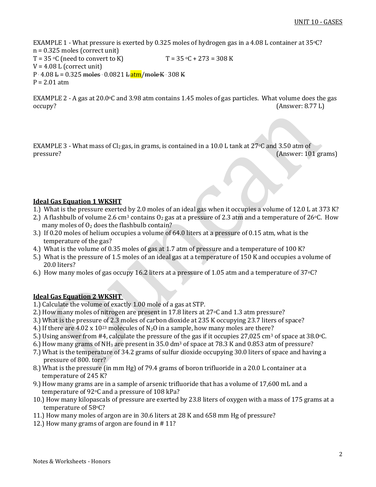EXAMPLE 1 - What pressure is exerted by 0.325 moles of hydrogen gas in a 4.08 L container at 35oC? n = 0.325 moles (correct unit)  $T = 35 \, \text{°C}$  (need to convert to K)  $T = 35 \, \text{°C} + 273 = 308 \, \text{K}$  $V = 4.08$  L (correct unit) P  $.4.08 \text{ L} = 0.325 \text{ moles} \cdot 0.0821 \text{ L} \cdot \text{atm/moleK} \cdot 308 \text{ K}$  $P = 2.01$  atm

EXAMPLE 2 - A gas at 20.0°C and 3.98 atm contains 1.45 moles of gas particles. What volume does the gas occupy? (Answer: 8.77 L)

EXAMPLE 3 - What mass of Cl<sub>2</sub> gas, in grams, is contained in a 10.0 L tank at 27 °C and 3.50 atm of pressure? (Answer: 101 grams)

### **Ideal Gas Equation 1 WKSHT**

- 1.) What is the pressure exerted by 2.0 moles of an ideal gas when it occupies a volume of 12.0 L at 373 K?
- 2.) A flashbulb of volume 2.6 cm<sup>3</sup> contains  $O_2$  gas at a pressure of 2.3 atm and a temperature of 26 °C. How many moles of  $O<sub>2</sub>$  does the flashbulb contain?
- 3.) If 0.20 moles of helium occupies a volume of 64.0 liters at a pressure of 0.15 atm, what is the temperature of the gas?
- 4.) What is the volume of 0.35 moles of gas at 1.7 atm of pressure and a temperature of 100 K?
- 5.) What is the pressure of 1.5 moles of an ideal gas at a temperature of 150 K and occupies a volume of 20.0 liters?
- 6.) How many moles of gas occupy 16.2 liters at a pressure of 1.05 atm and a temperature of  $37^{\circ}$ C?

### **Ideal Gas Equation 2 WKSHT**

- 1.) Calculate the volume of exactly 1.00 mole of a gas at STP.
- 2.) How many moles of nitrogen are present in 17.8 liters at 27 °C and 1.3 atm pressure?
- 3.) What is the pressure of 2.3 moles of carbon dioxide at 235 K occupying 23.7 liters of space?
- 4.) If there are 4.02 x  $10^{23}$  molecules of N<sub>2</sub>O in a sample, how many moles are there?
- 5.) Using answer from #4, calculate the pressure of the gas if it occupies 27,025 cm<sup>3</sup> of space at 38.0 $\degree$ C.
- 6.) How many grams of  $NH_3$  are present in 35.0 dm<sup>3</sup> of space at 78.3 K and 0.853 atm of pressure?
- 7.) What is the temperature of 34.2 grams of sulfur dioxide occupying 30.0 liters of space and having a pressure of 800. torr?
- 8.) What is the pressure (in mm Hg) of 79.4 grams of boron trifluoride in a 20.0 L container at a temperature of 245 K?
- 9.) How many grams are in a sample of arsenic trifluoride that has a volume of 17,600 mL and a temperature of 92°C and a pressure of 108 kPa?
- 10.) How many kilopascals of pressure are exerted by 23.8 liters of oxygen with a mass of 175 grams at a temperature of 58oC?
- 11.) How many moles of argon are in 30.6 liters at 28 K and 658 mm Hg of pressure?
- 12.) How many grams of argon are found in # 11?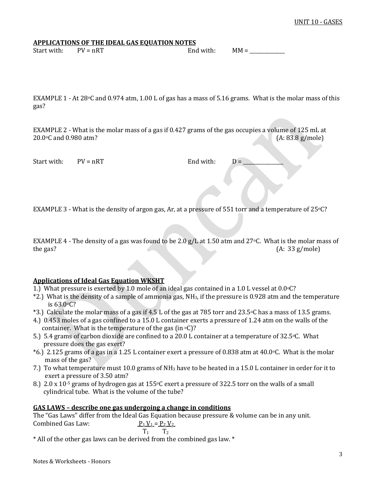**APPLICATIONS OF THE IDEAL GAS EQUATION NOTES**

| Start with: | $PV = nRT$ | End with: | $MM =$ |
|-------------|------------|-----------|--------|
|-------------|------------|-----------|--------|

EXAMPLE 1 - At 28 $\degree$ C and 0.974 atm, 1.00 L of gas has a mass of 5.16 grams. What is the molar mass of this gas?

EXAMPLE 2 - What is the molar mass of a gas if 0.427 grams of the gas occupies a volume of 125 mL at 20.0oC and 0.980 atm? (A: 83.8 g/mole)

Start with:  $PV = nRT$  End with:  $D =$ 

EXAMPLE 3 - What is the density of argon gas, Ar, at a pressure of 551 torr and a temperature of 25 °C?

EXAMPLE 4 - The density of a gas was found to be 2.0 g/L at 1.50 atm and 27 °C. What is the molar mass of the gas? (A: 33 g/mole)

### **Applications of Ideal Gas Equation WKSHT**

- 1.) What pressure is exerted by 1.0 mole of an ideal gas contained in a 1.0 L vessel at  $0.0\degree$ C?
- \*2.) What is the density of a sample of ammonia gas, NH3, if the pressure is 0.928 atm and the temperature is 63.0oC?
- \*3.) Calculate the molar mass of a gas if 4.5 L of the gas at 785 torr and 23.5oC has a mass of 13.5 grams.
- 4.) 0.453 moles of a gas confined to a 15.0 L container exerts a pressure of 1.24 atm on the walls of the container. What is the temperature of the gas (in  $\mathrm{O}(2)$ ?
- 5.) 5.4 grams of carbon dioxide are confined to a 20.0 L container at a temperature of 32.5 °C. What pressure does the gas exert?
- $*6$ .) 2.125 grams of a gas in a 1.25 L container exert a pressure of 0.838 atm at 40.0 °C. What is the molar mass of the gas?
- 7.) To what temperature must 10.0 grams of NH<sub>3</sub> have to be heated in a 15.0 L container in order for it to exert a pressure of 3.50 atm?
- 8.) 2.0 x 10<sup>-5</sup> grams of hydrogen gas at 155 $\degree$ C exert a pressure of 322.5 torr on the walls of a small cylindrical tube. What is the volume of the tube?

### **GAS LAWS – describe one gas undergoing a change in conditions**

The "Gas Laws" differ from the Ideal Gas Equation because pressure & volume can be in any unit. Combined Gas Law:  $P_1 V_1 = P_2 V_2$  $T_1$   $T_2$ 

\* All of the other gas laws can be derived from the combined gas law. \*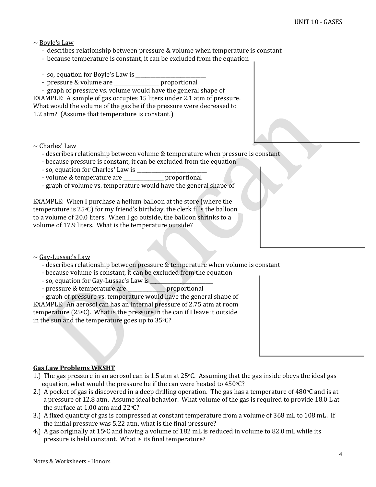### $\sim$  Boyle's Law

- describes relationship between pressure & volume when temperature is constant
- because temperature is constant, it can be excluded from the equation
- so, equation for Boyle's Law is \_\_\_\_\_\_\_\_\_\_\_\_\_\_\_\_\_\_\_\_\_\_\_\_\_\_\_\_
- pressure & volume are \_\_\_\_\_\_\_\_\_\_\_\_\_\_\_\_\_\_ proportional

 - graph of pressure vs. volume would have the general shape of EXAMPLE: A sample of gas occupies 15 liters under 2.1 atm of pressure. What would the volume of the gas be if the pressure were decreased to 1.2 atm? (Assume that temperature is constant.)

- $\sim$  Charles' Law
	- describes relationship between volume & temperature when pressure is constant
	- because pressure is constant, it can be excluded from the equation
	- so, equation for Charles' Law is \_\_\_\_\_\_\_\_\_\_\_\_\_\_\_\_\_\_\_\_\_\_\_\_\_\_\_\_
	- volume & temperature are \_\_\_\_\_\_\_\_\_\_\_\_\_\_\_\_ proportional
	- graph of volume vs. temperature would have the general shape of

EXAMPLE: When I purchase a helium balloon at the store (where the temperature is 25oC) for my friend's birthday, the clerk fills the balloon to a volume of 20.0 liters. When I go outside, the balloon shrinks to a volume of 17.9 liters. What is the temperature outside?

 $\sim$  Gay-Lussac's Law

- describes relationship between pressure & temperature when volume is constant
- because volume is constant, it can be excluded from the equation
- so, equation for Gay-Lussac's Law is \_\_\_\_\_\_\_\_\_\_\_\_\_\_\_\_\_\_\_\_\_\_\_\_\_
- pressure & temperature are proportional

 - graph of pressure vs. temperature would have the general shape of EXAMPLE: An aerosol can has an internal pressure of 2.75 atm at room temperature (25oC). What is the pressure in the can if I leave it outside in the sun and the temperature goes up to  $35°C$ ?

### **Gas Law Problems WKSHT**

- 1.) The gas pressure in an aerosol can is 1.5 atm at  $25\degree$ C. Assuming that the gas inside obeys the ideal gas equation, what would the pressure be if the can were heated to  $450^{\circ}$ C?
- 2.) A pocket of gas is discovered in a deep drilling operation. The gas has a temperature of  $480\degree$ C and is at a pressure of 12.8 atm. Assume ideal behavior. What volume of the gas is required to provide 18.0 L at the surface at 1.00 atm and 22oC?
- 3.) A fixed quantity of gas is compressed at constant temperature from a volume of 368 mL to 108 mL. If the initial pressure was 5.22 atm, what is the final pressure?
- 4.) A gas originally at 15oC and having a volume of 182 mL is reduced in volume to 82.0 mL while its pressure is held constant. What is its final temperature?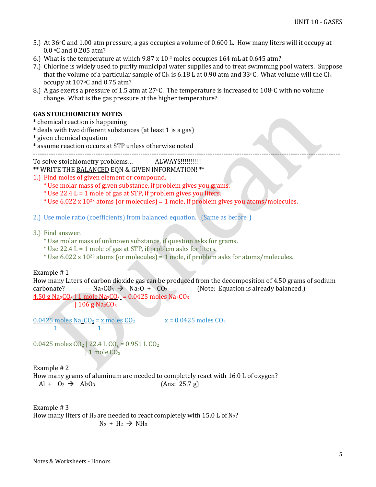- 5.) At 36oC and 1.00 atm pressure, a gas occupies a volume of 0.600 L. How many liters will it occupy at 0.0 oC and 0.205 atm?
- 6.) What is the temperature at which 9.87 x 10-2 moles occupies 164 mL at 0.645 atm?
- 7.) Chlorine is widely used to purify municipal water supplies and to treat swimming pool waters. Suppose that the volume of a particular sample of  $Cl_2$  is 6.18 L at 0.90 atm and 33°C. What volume will the  $Cl_2$ occupy at 107oC and 0.75 atm?
- 8.) A gas exerts a pressure of 1.5 atm at 27 °C. The temperature is increased to 108 °C with no volume change. What is the gas pressure at the higher temperature?

# **GAS STOICHIOMETRY NOTES**

- \* chemical reaction is happening
- \* deals with two different substances (at least 1 is a gas)
- \* given chemical equation
- \* assume reaction occurs at STP unless otherwise noted

-----------------------------------------------------------------------------------------------------------------------------------------

To solve stoichiometry problems… ALWAYS!!!!!!!!!!!

#### \*\* WRITE THE BALANCED EQN & GIVEN INFORMATION! \*\*

- 1.) Find moles of given element or compound.
	- \* Use molar mass of given substance, if problem gives you grams.
	- \* Use 22.4 L = 1 mole of gas at STP, if problem gives you liters.
	- \* Use  $6.022 \times 10^{23}$  atoms (or molecules) = 1 mole, if problem gives you atoms/molecules.
- 2.) Use mole ratio (coefficients) from balanced equation. (Same as before!)
- 3.) Find answer.
	- \* Use molar mass of unknown substance, if question asks for grams.
	- \* Use 22.4 L = 1 mole of gas at STP, if problem asks for liters.
	- \* Use 6.022 x 10<sup>23</sup> atoms (or molecules) = 1 mole, if problem asks for atoms/molecules.

Example # 1

How many Liters of carbon dioxide gas can be produced from the decomposition of 4.50 grams of sodium carbonate?  $Na_2CO_3 \rightarrow Na_2O + CO_2$  (Note: Equation is already balanced.)  $4.50$  g Na<sub>2</sub>CO<sub>3</sub> | 1 mole Na<sub>2</sub>CO<sub>3</sub> = 0.0425 moles Na<sub>2</sub>CO<sub>3</sub>

| 106 g Na<sub>2</sub> $CO<sub>3</sub>$ 

 $0.0425$  moles Na<sub>2</sub>CO<sub>3</sub> = x moles CO<sub>2</sub>  $x = 0.0425$  moles CO<sub>2</sub>

1 1

 $0.0425$  moles CO<sub>2</sub> | 22.4 L CO<sub>2</sub> = 0.951 L CO<sub>2</sub> | 1 mole CO<sub>2</sub>

Example # 2

How many grams of aluminum are needed to completely react with 16.0 L of oxygen?  $Al + O_2 \rightarrow Al_2O_3$  (Ans: 25.7 g)

Example # 3 How many liters of  $H_2$  are needed to react completely with 15.0 L of  $N_2$ ?  $N_2 + H_2 \rightarrow NH_3$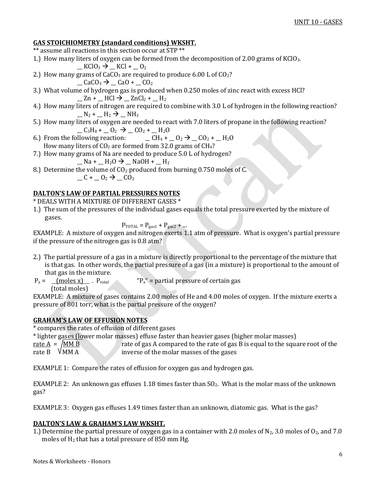# **GAS STOICHIOMETRY (standard conditions) WKSHT.**

- \*\* assume all reactions in this section occur at STP \*\*
- 1.) How many liters of oxygen can be formed from the decomposition of 2.00 grams of KClO3.
	- $KClO_3 \rightarrow KCl + O_2$
- 2.) How many grams of  $CaCO<sub>3</sub>$  are required to produce 6.00 L of  $CO<sub>2</sub>$ ?
	- $\angle$ CaCO<sub>3</sub>  $\rightarrow \angle$ CaO +  $\angle$ CO<sub>2</sub>
- 3.) What volume of hydrogen gas is produced when 0.250 moles of zinc react with excess HCl?  $_$   $_$  Zn +  $_$  HCl  $\rightarrow$   $_$  ZnCl<sub>2</sub> +  $_$  H<sub>2</sub>
- 4.) How many liters of nitrogen are required to combine with 3.0 L of hydrogen in the following reaction?  $N_2$  +  $N_2$  +  $N_3$
- 5.) How many liters of oxygen are needed to react with 7.0 liters of propane in the following reaction?  $C_3H_8 + C_2 \rightarrow C_2 + H_2O$
- 6.) From the following reaction:  $\qquad \qquad \_ CH_4 + \_ 0_2 \rightarrow \_ C0_2 + \_ H_20$ How many liters of  $CO<sub>2</sub>$  are formed from 32.0 grams of  $CH<sub>4</sub>$ ?
- 7.) How many grams of Na are needed to produce 5.0 L of hydrogen?
	- $\_$  Na +  $\_$  H<sub>2</sub>O  $\rightarrow$   $\_$  NaOH +  $\_$  H<sub>2</sub>
- 8.) Determine the volume of  $CO<sub>2</sub>$  produced from burning 0.750 moles of C.  $-C$  +  $_0$ <sub>2</sub>  $\rightarrow$   $_$   $CO<sub>2</sub>$

# **DALTON'S LAW OF PARTIAL PRESSURES NOTES**

\* DEALS WITH A MIXTURE OF DIFFERENT GASES \*

1.) The sum of the pressures of the individual gases equals the total pressure exerted by the mixture of gases.

 $P_{\text{TOTAL}} = P_{\text{gas1}} + P_{\text{gas2}} + ...$ 

EXAMPLE: A mixture of oxygen and nitrogen exerts 1.1 atm of pressure. What is oxygen's partial pressure if the pressure of the nitrogen gas is 0.8 atm?

- 2.) The partial pressure of a gas in a mixture is directly proportional to the percentage of the mixture that is that gas. In other words, the partial pressure of a gas (in a mixture) is proportional to the amount of that gas in the mixture.
- $P_x =$  (moles x) . P<sub>total</sub> "P<sub>x</sub>" = partial pressure of certain gas (total moles)

EXAMPLE: A mixture of gases contains 2.00 moles of He and 4.00 moles of oxygen. If the mixture exerts a pressure of 801 torr, what is the partial pressure of the oxygen?

## **GRAHAM'S LAW OF EFFUSION NOTES**

\* compares the rates of effusion of different gases

\* lighter gases (lower molar masses) effuse faster than heavier gases (higher molar masses)

<u>rate A</u> =  $\sqrt{\text{MM B}}$  rate of gas A compared to the rate of gas B is equal to the square root of the rate B  $\sqrt{\text{MM A}}$ inverse of the molar masses of the gases

EXAMPLE 1: Compare the rates of effusion for oxygen gas and hydrogen gas.

EXAMPLE 2: An unknown gas effuses 1.18 times faster than  $SO_2$ . What is the molar mass of the unknown gas?

EXAMPLE 3: Oxygen gas effuses 1.49 times faster than an unknown, diatomic gas. What is the gas?

## **DALTON'S LAW & GRAHAM'S LAW WKSHT.**

1.) Determine the partial pressure of oxygen gas in a container with 2.0 moles of  $N_2$ , 3.0 moles of  $O_2$ , and 7.0 moles of H<sup>2</sup> that has a total pressure of 850 mm Hg.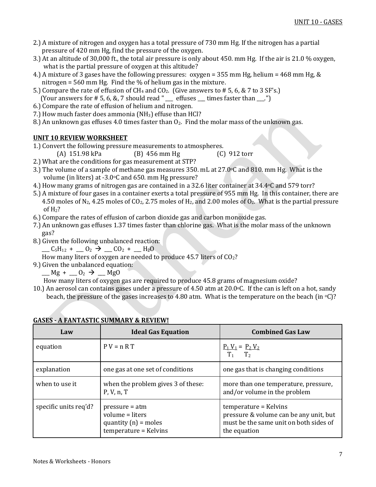- 2.) A mixture of nitrogen and oxygen has a total pressure of 730 mm Hg. If the nitrogen has a partial pressure of 420 mm Hg, find the pressure of the oxygen.
- 3.) At an altitude of 30,000 ft., the total air pressure is only about 450. mm Hg. If the air is 21.0 % oxygen, what is the partial pressure of oxygen at this altitude?
- 4.) A mixture of 3 gases have the following pressures: oxygen = 355 mm Hg, helium = 468 mm Hg, & nitrogen = 560 mm Hg. Find the % of helium gas in the mixture.
- 5.) Compare the rate of effusion of  $CH_4$  and  $CO_2$ . (Give answers to # 5, 6, & 7 to 3 SF's.)
- (Your answers for  $# 5, 6, 8, 7$  should read " $\_\_$  effuses  $\_\_$  times faster than  $\_\_$ .")
- 6.) Compare the rate of effusion of helium and nitrogen.
- 7.) How much faster does ammonia ( $NH<sub>3</sub>$ ) effuse than HCl?
- 8.) An unknown gas effuses 4.0 times faster than  $O_2$ . Find the molar mass of the unknown gas.

# **UNIT 10 REVIEW WORKSHEET**

- 1.) Convert the following pressure measurements to atmospheres.
	- (A) 151.98 kPa (B) 456 mm Hg (C) 912 torr
- 2.) What are the conditions for gas measurement at STP?
- 3.) The volume of a sample of methane gas measures 350. mL at 27.0oC and 810. mm Hg. What is the volume (in liters) at  $-3.0$  °C and 650. mm Hg pressure?
- 4.) How many grams of nitrogen gas are contained in a 32.6 liter container at  $34.4\degree$ C and 579 torr?
- 5.) A mixture of four gases in a container exerts a total pressure of 955 mm Hg. In this container, there are 4.50 moles of N<sub>2</sub>, 4.25 moles of CO<sub>2</sub>, 2.75 moles of H<sub>2</sub>, and 2.00 moles of O<sub>2</sub>. What is the partial pressure of  $H<sub>2</sub>$ ?
- 6.) Compare the rates of effusion of carbon dioxide gas and carbon monoxide gas.
- 7.) An unknown gas effuses 1.37 times faster than chlorine gas. What is the molar mass of the unknown gas?
- 8.) Given the following unbalanced reaction:
	- $\_C_5H_{12} + . . . 0_2 \rightarrow . . 0_2 + . . H_2O$

How many liters of oxygen are needed to produce 45.7 liters of CO<sub>2</sub>?

9.) Given the unbalanced equation:

 $mg + 0^2 \rightarrow Mg$ 

How many liters of oxygen gas are required to produce 45.8 grams of magnesium oxide?

10.) An aerosol can contains gases under a pressure of 4.50 atm at 20.0oC. If the can is left on a hot, sandy beach, the pressure of the gases increases to 4.80 atm. What is the temperature on the beach (in  $\circ$ C)?

| Law                   | <b>Ideal Gas Equation</b>                                                              | <b>Combined Gas Law</b>                                                                                                   |
|-----------------------|----------------------------------------------------------------------------------------|---------------------------------------------------------------------------------------------------------------------------|
| equation              | $P V = n R T$                                                                          | $P_1 V_1 = P_2 V_2$<br>$T_1$<br>T <sub>2</sub>                                                                            |
| explanation           | one gas at one set of conditions                                                       | one gas that is changing conditions                                                                                       |
| when to use it        | when the problem gives 3 of these:<br>P, V, n, T                                       | more than one temperature, pressure,<br>and/or volume in the problem                                                      |
| specific units req'd? | $pressure = atm$<br>volume = liters<br>quantity $(n)$ = moles<br>temperature = Kelvins | temperature = Kelvins<br>pressure & volume can be any unit, but<br>must be the same unit on both sides of<br>the equation |

## **GASES - A FANTASTIC SUMMARY & REVIEW!**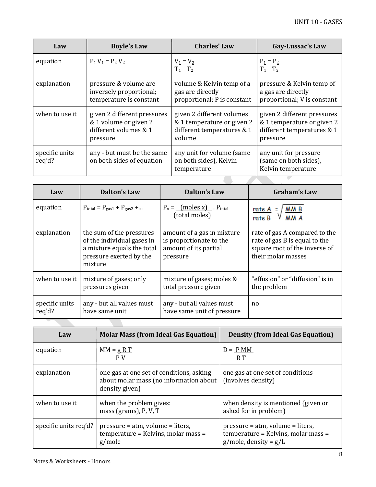| Law                      | <b>Boyle's Law</b>                                                                        | <b>Charles' Law</b>                                                                             | Gay-Lussac's Law                                                                                    |
|--------------------------|-------------------------------------------------------------------------------------------|-------------------------------------------------------------------------------------------------|-----------------------------------------------------------------------------------------------------|
| equation                 | $P_1 V_1 = P_2 V_2$                                                                       | $V_1 = V_2$<br>$T_1$ $T_2$                                                                      | $P_1 = P_2$<br>$T_1$ $T_2$                                                                          |
| explanation              | pressure & volume are<br>inversely proportional;<br>temperature is constant               | volume & Kelvin temp of a<br>gas are directly<br>proportional; P is constant                    | pressure & Kelvin temp of<br>a gas are directly<br>proportional; V is constant                      |
| when to use it           | given 2 different pressures<br>& 1 volume or given 2<br>different volumes & 1<br>pressure | given 2 different volumes<br>& 1 temperature or given 2<br>different temperatures & 1<br>volume | given 2 different pressures<br>& 1 temperature or given 2<br>different temperatures & 1<br>pressure |
| specific units<br>req'd? | any - but must be the same<br>on both sides of equation                                   | any unit for volume (same<br>on both sides), Kelvin<br>temperature                              | any unit for pressure<br>(same on both sides),<br>Kelvin temperature                                |

| Law                      | <b>Dalton's Law</b>                                                                                                        | <b>Dalton's Law</b>                                                                        | <b>Graham's Law</b>                                                                                                   |
|--------------------------|----------------------------------------------------------------------------------------------------------------------------|--------------------------------------------------------------------------------------------|-----------------------------------------------------------------------------------------------------------------------|
| equation                 | $P_{\text{total}} = P_{\text{gas1}} + P_{\text{gas2}} + $                                                                  | $P_x = \underline{\text{ (moles x)}}$ . $P_{\text{total}}$<br>(total moles)                | $rac{\text{rate A}}{\text{rate B}} = \sqrt{\frac{\text{M M B}}{\text{M M A}}}$                                        |
| explanation              | the sum of the pressures<br>of the individual gases in<br>a mixture equals the total<br>pressure exerted by the<br>mixture | amount of a gas in mixture<br>is proportionate to the<br>amount of its partial<br>pressure | rate of gas A compared to the<br>rate of gas B is equal to the<br>square root of the inverse of<br>their molar masses |
| when to use it           | mixture of gases; only<br>pressures given                                                                                  | mixture of gases; moles &<br>total pressure given                                          | "effusion" or "diffusion" is in<br>the problem                                                                        |
| specific units<br>req'd? | any - but all values must<br>have same unit                                                                                | any - but all values must<br>have same unit of pressure                                    | no                                                                                                                    |

| Law                   | <b>Molar Mass (from Ideal Gas Equation)</b>                                                          | <b>Density (from Ideal Gas Equation)</b>                                                                |
|-----------------------|------------------------------------------------------------------------------------------------------|---------------------------------------------------------------------------------------------------------|
| equation              | $MM = gRT$<br>P V                                                                                    | $D = P MM$<br>R T                                                                                       |
| explanation           | one gas at one set of conditions, asking<br>about molar mass (no information about<br>density given) | one gas at one set of conditions<br>(involves density)                                                  |
| when to use it        | when the problem gives:<br>mass (grams), P, V, T                                                     | when density is mentioned (given or<br>asked for in problem)                                            |
| specific units req'd? | $pressure = atm, volume = liters,$<br>temperature = Kelvins, molar mass =<br>g/mole                  | $pressure = atm, volume = liters,$<br>temperature = Kelvins, molar mass =<br>$g/mole$ , density = $g/L$ |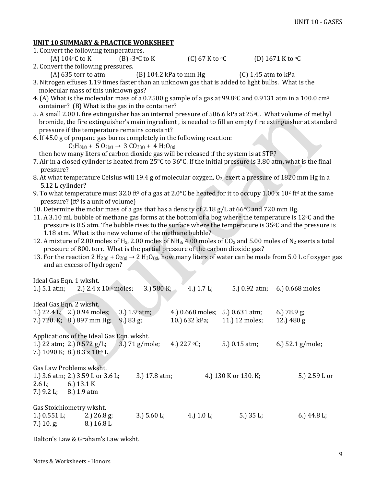## **UNIT 10 SUMMARY & PRACTICE WORKSHEET**

| 1. Convert the following temperatures. |                         |                          |                                                                                                     |
|----------------------------------------|-------------------------|--------------------------|-----------------------------------------------------------------------------------------------------|
| (A) $104\textdegree$ C to K            | $(B)$ -3 $\circ$ C to K | (C) 67 K to $\rm ^{o}C$  | (D) 1671 K to $\rm ^{o}C$                                                                           |
| 2. Convert the following pressures.    |                         |                          |                                                                                                     |
| $(A)$ 635 torr to atm                  |                         | $(B)$ 104.2 kPa to mm Hg | $(C)$ 1.45 atm to kPa                                                                               |
|                                        |                         |                          | 3. Nitrogen effuses 1.19 times faster than an unknown gas that is added to light bulbs. What is the |

- molecular mass of this unknown gas? 4. (A) What is the molecular mass of a 0.2500 g sample of a gas at 99.8oC and 0.9131 atm in a 100.0 cm<sup>3</sup> container? (B) What is the gas in the container?
- 5. A small 2.00 L fire extinguisher has an internal pressure of 506.6 kPa at 25 °C. What volume of methyl bromide, the fire extinguisher's main ingredient , is needed to fill an empty fire extinguisher at standard pressure if the temperature remains constant?
- 6. If 45.0 g of propane gas burns completely in the following reaction:

 $C_3H_{8(g)}$  + 5 O<sub>2(g)</sub> → 3 CO<sub>2(g)</sub> + 4 H<sub>2</sub>O<sub>(g)</sub>

then how many liters of carbon dioxide gas will be released if the system is at STP?

- 7. Air in a closed cylinder is heated from 25°C to 36°C. If the initial pressure is 3.80 atm, what is the final pressure?
- 8. At what temperature Celsius will 19.4 g of molecular oxygen,  $O_2$ , exert a pressure of 1820 mm Hg in a 5.12 L cylinder?
- 9. To what temperature must 32.0 ft<sup>3</sup> of a gas at 2.0 °C be heated for it to occupy 1.00 x 10<sup>2</sup> ft<sup>3</sup> at the same pressure? (ft<sup>3</sup> is a unit of volume)
- 10. Determine the molar mass of a gas that has a density of 2.18 g/L at 66°C and 720 mm Hg.
- 11. A 3.10 mL bubble of methane gas forms at the bottom of a bog where the temperature is 12 $\degree$ C and the pressure is 8.5 atm. The bubble rises to the surface where the temperature is  $35\degree$ C and the pressure is 1.18 atm. What is the new volume of the methane bubble?
- 12. A mixture of 2.00 moles of H<sub>2</sub>, 2.00 moles of NH<sub>3</sub>, 4.00 moles of CO<sub>2</sub> and 5.00 moles of N<sub>2</sub> exerts a total pressure of 800. torr. What is the partial pressure of the carbon dioxide gas?
- 13. For the reaction 2 H<sub>2(g)</sub> + O<sub>2(g)</sub>  $\rightarrow$  2 H<sub>2</sub>O<sub>(g)</sub>, how many liters of water can be made from 5.0 L of oxygen gas and an excess of hydrogen?

| Ideal Gas Eqn. 1 wksht.                |                                            |                   |                               |                      |                               |
|----------------------------------------|--------------------------------------------|-------------------|-------------------------------|----------------------|-------------------------------|
| 1.) $5.1$ atm;                         | 2.) 2.4 x 10 <sup>-4</sup> moles;          | 3.) 580 K;        | 4.) $1.7 L$ ;                 |                      | 5.) 0.92 atm; 6.) 0.668 moles |
|                                        |                                            |                   |                               |                      |                               |
| Ideal Gas Eqn. 2 wksht.                |                                            |                   |                               |                      |                               |
|                                        | 1.) $22.4 \text{ L}$ ; 2.) 0.94 moles;     | 3.) $1.9$ atm;    | 4.) 0.668 moles;              | 5.) 0.631 atm;       | 6.) $78.9$ g;                 |
|                                        | 7.) 720. K; 8.) 897 mm Hg;<br>$9.$ ) 83 g; |                   | 10.) 632 kPa;                 | 11.) 12 moles;       | 12.) $480 g$                  |
|                                        |                                            |                   |                               |                      |                               |
|                                        | Applications of the Ideal Gas Eqn. wksht.  |                   |                               |                      |                               |
| 1.) 22 atm; 2.) $0.572$ g/L;           |                                            | $3.$ ) 71 g/mole; | 4.) $227 \text{ }^{\circ}C$ ; | 5.) 0.15 atm;        | 6.) $52.1$ g/mole;            |
| 7.) 1090 K; 8.) $8.3 \times 10^{-4}$ L |                                            |                   |                               |                      |                               |
|                                        |                                            |                   |                               |                      |                               |
| Gas Law Problems wksht.                |                                            |                   |                               |                      |                               |
|                                        | 1.) 3.6 atm; 2.) 3.59 L or 3.6 L;          | 3.) 17.8 atm;     |                               | 4.) 130 K or 130. K; | 5.) 2.59 L or                 |
| $2.6 L$ ; 6.) $13.1 K$                 |                                            |                   |                               |                      |                               |
| 7.) $9.2 L$ ; 8.) $1.9 atm$            |                                            |                   |                               |                      |                               |
|                                        |                                            |                   |                               |                      |                               |
| Gas Stoichiometry wksht.               |                                            |                   |                               |                      |                               |
| 1.) $0.551$ L;                         | 2.) $26.8$ g;                              | 3.) $5.60 L;$     | 4.) $1.0 L$ ;                 | 5.) $35 L;$          | 6.) $44.8 L;$                 |
| $(7.)$ 10. g;                          | $8.$ ) 16.8 L                              |                   |                               |                      |                               |

Dalton's Law & Graham's Law wksht.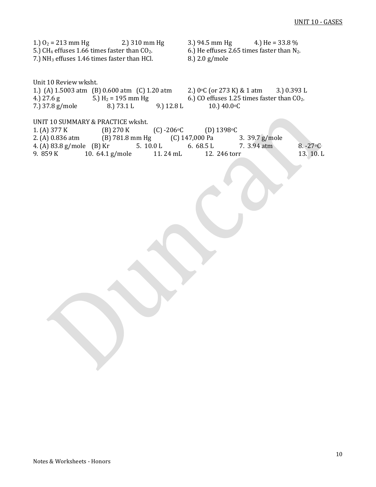| 1.) $O_2 = 213$ mm Hg 2.) 310 mm Hg<br>5.) CH <sub>4</sub> effuses 1.66 times faster than $CO2$ .<br>7.) NH <sub>3</sub> effuses 1.46 times faster than HCl.                                                               | 3.) 94.5 mm Hg 4.) He = $33.8\%$<br>6.) He effuses 2.65 times faster than $N_2$ .<br>8.) 2.0 g/mole              |
|----------------------------------------------------------------------------------------------------------------------------------------------------------------------------------------------------------------------------|------------------------------------------------------------------------------------------------------------------|
| Unit 10 Review wksht.<br>1.) (A) 1.5003 atm (B) 0.600 atm (C) 1.20 atm 2.) 0 °C (or 273 K) & 1 atm<br>5.) $H_2 = 195$ mm Hg<br>4.) 27.6 g<br>9.) 12.8 L<br>8.) 73.1 L<br>7.) 37.8 g/mole                                   | 3.) 0.393 L<br>6.) CO effuses 1.25 times faster than CO <sub>2</sub> .<br>10.) 40.0 °C                           |
| UNIT 10 SUMMARY & PRACTICE wksht.<br>$(C) - 206$ °C<br>(B) 270 K<br>1. (A) 377 K<br>(B) 781.8 mm Hg (C) 147,000 Pa<br>2. (A) 0.836 atm<br>4. (A) 83.8 g/mole (B) Kr<br>5.10.0 L<br>10. 64.1 g/mole<br>9. 859 K<br>11.24 mL | (D) $1398 \text{°C}$<br>3. 39.7 g/mole<br>7. 3.94 atm<br>6. $68.5 L$<br>8. $-27$ °C<br>13. 10. L<br>12. 246 torr |
|                                                                                                                                                                                                                            |                                                                                                                  |
|                                                                                                                                                                                                                            |                                                                                                                  |
|                                                                                                                                                                                                                            |                                                                                                                  |
|                                                                                                                                                                                                                            |                                                                                                                  |
|                                                                                                                                                                                                                            |                                                                                                                  |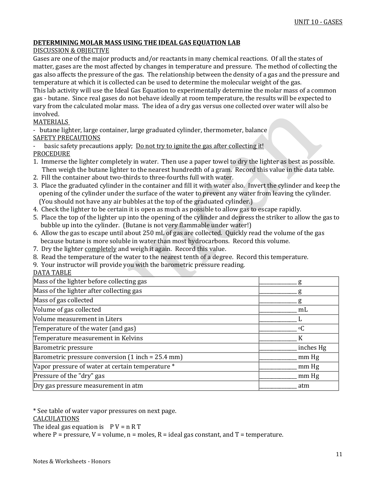## **DETERMINING MOLAR MASS USING THE IDEAL GAS EQUATION LAB**

## DISCUSSION & OBJECTIVE

Gases are one of the major products and/or reactants in many chemical reactions. Of all the states of matter, gases are the most affected by changes in temperature and pressure. The method of collecting the gas also affects the pressure of the gas. The relationship between the density of a gas and the pressure and temperature at which it is collected can be used to determine the molecular weight of the gas.

This lab activity will use the Ideal Gas Equation to experimentally determine the molar mass of a common gas - butane. Since real gases do not behave ideally at room temperature, the results will be expected to vary from the calculated molar mass. The idea of a dry gas versus one collected over water will also be involved.

## MATERIALS

- butane lighter, large container, large graduated cylinder, thermometer, balance SAFETY PRECAUTIONS

basic safety precautions apply; Do not try to ignite the gas after collecting it! PROCEDURE

- 1. Immerse the lighter completely in water. Then use a paper towel to dry the lighter as best as possible. Then weigh the butane lighter to the nearest hundredth of a gram. Record this value in the data table.
- 2. Fill the container about two-thirds to three-fourths full with water.
- 3. Place the graduated cylinder in the container and fill it with water also. Invert the cylinder and keep the opening of the cylinder under the surface of the water to prevent any water from leaving the cylinder. (You should not have any air bubbles at the top of the graduated cylinder.)
- 4. Check the lighter to be certain it is open as much as possible to allow gas to escape rapidly.
- 5. Place the top of the lighter up into the opening of the cylinder and depress the striker to allow the gas to bubble up into the cylinder. (Butane is not very flammable under water!)
- 6. Allow the gas to escape until about 250 mL of gas are collected. Quickly read the volume of the gas because butane is more soluble in water than most hydrocarbons. Record this volume.
- 7. Dry the lighter completely and weigh it again. Record this value.
- 8. Read the temperature of the water to the nearest tenth of a degree. Record this temperature.
- 9. Your instructor will provide you with the barometric pressure reading.
- DATA TABLE

| Mass of the lighter before collecting gas                           | g         |
|---------------------------------------------------------------------|-----------|
| Mass of the lighter after collecting gas                            |           |
| Mass of gas collected                                               |           |
| Volume of gas collected                                             | mL        |
| Volume measurement in Liters                                        |           |
| Temperature of the water (and gas)                                  | $\circ$ C |
| Temperature measurement in Kelvins                                  | К         |
| Barometric pressure                                                 | inches Hg |
| Barometric pressure conversion $(1 \text{ inch} = 25.4 \text{ mm})$ | mm Hg     |
| Vapor pressure of water at certain temperature *                    | mm Hg     |
| Pressure of the "dry" gas                                           | mm Hg     |
| Dry gas pressure measurement in atm                                 | atm       |
|                                                                     |           |

\* See table of water vapor pressures on next page. CALCULATIONS The ideal gas equation is  $P V = n R T$ where P = pressure,  $V =$  volume,  $n =$  moles,  $R =$  ideal gas constant, and  $T =$  temperature.